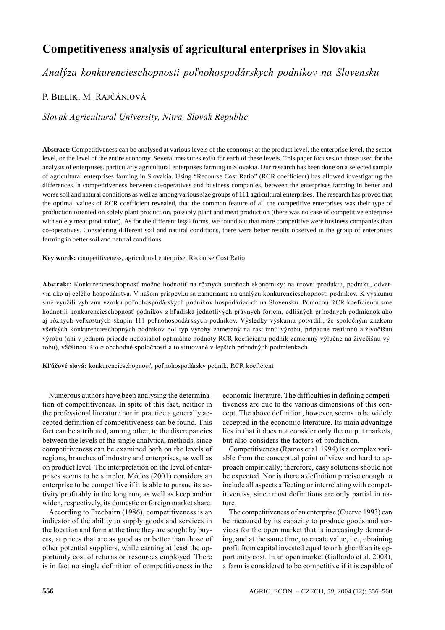# Competitiveness analysis of agricultural enterprises in Slovakia

Analýza konkurencieschopnosti poľnohospodárskych podnikov na Slovensku

P. BIELIK, M. RAJČÁNIOVÁ

Slovak Agricultural University, Nitra, Slovak Republic

**Abstract:** Competitiveness can be analysed at various levels of the economy: at the product level, the enterprise level, the sector level, or the level of the entire economy. Several measures exist for each of these levels. This paper focuses on those used for the analysis of enterprises, particularly agricultural enterprises farming in Slovakia. Our research has been done on a selected sample of agricultural enterprises farming in Slovakia. Using "Recourse Cost Ratio" (RCR coefficient) has allowed investigating the differences in competitiveness between co-operatives and business companies, between the enterprises farming in better and worse soil and natural conditions as well as among various size groups of 111 agricultural enterprises. The research has proved that the optimal values of RCR coefficient revealed, that the common feature of all the competitive enterprises was their type of production oriented on solely plant production, possibly plant and meat production (there was no case of competitive enterprise with solely meat production). As for the different legal forms, we found out that more competitive were business companies than co-operatives. Considering different soil and natural conditions, there were better results observed in the group of enterprises farming in better soil and natural conditions.

**Key words:** competitiveness, agricultural enterprise, Recourse Cost Ratio

Abstrakt: Konkurencieschopnosť možno hodnotiť na rôznych stupňoch ekonomiky: na úrovni produktu, podniku, odvetvia ako aj celého hospodárstva. V našom príspevku sa zameriame na analýzu konkurencieschopnosti podnikov. K výskumu sme využili vybranú vzorku poľnohospodárskych podnikov hospodáriacich na Slovensku. Pomocou RCR koeficientu sme hodnotili konkurencieschopnosť podnikov z hľadiska jednotlivých právnych foriem, odlišných prírodných podmienok ako aj rôznych veľkostných skupín 111 poľnohospodárskych podnikov. Výsledky výskumu potvrdili, že spoločným znakom všetkých konkurencieschopných podnikov bol typ výroby zameraný na rastlinnú výrobu, prípadne rastlinnú a živočíšnu výrobu (ani v jednom prípade nedosiahol optimálne hodnoty RCR koeficientu podnik zameraný výlučne na živočíšnu výrobu), väčšinou išlo o obchodné spoločnosti a to situované v lepších prírodných podmienkach.

Kľúčové slová: konkurencieschopnosť, poľnohospodársky podnik, RCR koeficient

Numerous authors have been analysing the determination of competitiveness. In spite of this fact, neither in the professional literature nor in practice a generally accepted definition of competitiveness can be found. This fact can be attributed, among other, to the discrepancies between the levels of the single analytical methods, since competitiveness can be examined both on the levels of regions, branches of industry and enterprises, as well as on product level. The interpretation on the level of enterprises seems to be simpler. Módos (2001) considers an enterprise to be competitive if it is able to pursue its activity profitably in the long run, as well as keep and/or widen, respectively, its domestic or foreign market share.

According to Freebairn (1986), competitiveness is an indicator of the ability to supply goods and services in the location and form at the time they are sought by buyers, at prices that are as good as or better than those of other potential suppliers, while earning at least the opportunity cost of returns on resources employed. There is in fact no single definition of competitiveness in the economic literature. The difficulties in defining competitiveness are due to the various dimensions of this concept. The above definition, however, seems to be widely accepted in the economic literature. Its main advantage lies in that it does not consider only the output markets, but also considers the factors of production.

Competitiveness (Ramos et al. 1994) is a complex variable from the conceptual point of view and hard to approach empirically; therefore, easy solutions should not be expected. Nor is there a definition precise enough to include all aspects affecting or interrelating with competitiveness, since most definitions are only partial in nature.

The competitiveness of an enterprise (Cuervo 1993) can be measured by its capacity to produce goods and services for the open market that is increasingly demanding, and at the same time, to create value, i.e., obtaining profit from capital invested equal to or higher than its opportunity cost. In an open market (Gallardo et al. 2003), a farm is considered to be competitive if it is capable of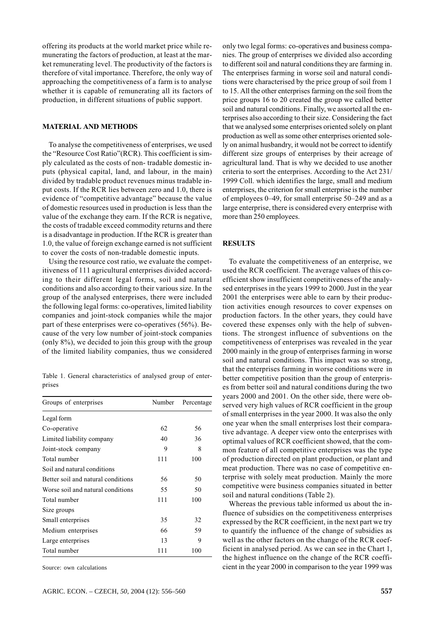offering its products at the world market price while remunerating the factors of production, at least at the market remunerating level. The productivity of the factors is therefore of vital importance. Therefore, the only way of approaching the competitiveness of a farm is to analyse whether it is capable of remunerating all its factors of production, in different situations of public support.

### **MATERIAL AND METHODS**

To analyse the competitiveness of enterprises, we used the "Resource Cost Ratio" (RCR). This coefficient is simply calculated as the costs of non-tradable domestic inputs (physical capital, land, and labour, in the main) divided by tradable product revenues minus tradable input costs. If the RCR lies between zero and 1.0, there is evidence of "competitive advantage" because the value of domestic resources used in production is less than the value of the exchange they earn. If the RCR is negative, the costs of tradable exceed commodity returns and there is a disadvantage in production. If the RCR is greater than 1.0, the value of foreign exchange earned is not sufficient to cover the costs of non-tradable domestic inputs.

Using the resource cost ratio, we evaluate the competitiveness of 111 agricultural enterprises divided according to their different legal forms, soil and natural conditions and also according to their various size. In the group of the analysed enterprises, there were included the following legal forms: co-operatives, limited liability companies and joint-stock companies while the major part of these enterprises were co-operatives  $(56\%)$ . Because of the very low number of joint-stock companies (only  $8\%$ ), we decided to join this group with the group of the limited liability companies, thus we considered

Table 1. General characteristics of analysed group of enterprises

| Groups of enterprises              | Number | Percentage |  |
|------------------------------------|--------|------------|--|
| Legal form                         |        |            |  |
| Co-operative                       | 62     | 56         |  |
| Limited liability company          | 40     | 36         |  |
| Joint-stock company                | 9      | 8          |  |
| Total number                       | 111    | 100        |  |
| Soil and natural conditions        |        |            |  |
| Better soil and natural conditions | 56     | 50         |  |
| Worse soil and natural conditions  | 55     | 50         |  |
| Total number                       | 111    | 100        |  |
| Size groups                        |        |            |  |
| Small enterprises                  | 35     | 32         |  |
| Medium enterprises                 | 66     | 59         |  |
| Large enterprises                  | 13     | 9          |  |
| Total number                       | 111    | 100        |  |

Source: own calculations

only two legal forms: co-operatives and business companies. The group of enterprises we divided also according to different soil and natural conditions they are farming in. The enterprises farming in worse soil and natural conditions were characterised by the price group of soil from 1 to 15. All the other enterprises farming on the soil from the price groups 16 to 20 created the group we called better soil and natural conditions. Finally, we assorted all the enterprises also according to their size. Considering the fact that we analysed some enterprises oriented solely on plant production as well as some other enterprises oriented solely on animal husbandry, it would not be correct to identify different size groups of enterprises by their acreage of agricultural land. That is why we decided to use another criteria to sort the enterprises. According to the Act 231/ 1999 Coll. which identifies the large, small and medium enterprises, the criterion for small enterprise is the number of employees 0–49, for small enterprise 50–249 and as a large enterprise, there is considered every enterprise with more than 250 employees.

#### **RESULTS**

To evaluate the competitiveness of an enterprise, we used the RCR coefficient. The average values of this coefficient show insufficient competitiveness of the analysed enterprises in the years 1999 to 2000. Just in the year 2001 the enterprises were able to earn by their production activities enough resources to cover expenses on production factors. In the other years, they could have covered these expenses only with the help of subventions. The strongest influence of subventions on the competitiveness of enterprises was revealed in the year 2000 mainly in the group of enterprises farming in worse soil and natural conditions. This impact was so strong, that the enterprises farming in worse conditions were in better competitive position than the group of enterprises from better soil and natural conditions during the two years 2000 and 2001. On the other side, there were observed very high values of RCR coefficient in the group of small enterprises in the year 2000. It was also the only one year when the small enterprises lost their comparative advantage. A deeper view onto the enterprises with optimal values of RCR coefficient showed, that the common feature of all competitive enterprises was the type of production directed on plant production, or plant and meat production. There was no case of competitive enterprise with solely meat production. Mainly the more competitive were business companies situated in better soil and natural conditions (Table 2).

Whereas the previous table informed us about the influence of subsidies on the competitiveness enterprises expressed by the RCR coefficient, in the next part we try to quantify the influence of the change of subsidies as well as the other factors on the change of the RCR coefficient in analysed period. As we can see in the Chart 1, the highest influence on the change of the RCR coefficient in the year 2000 in comparison to the year 1999 was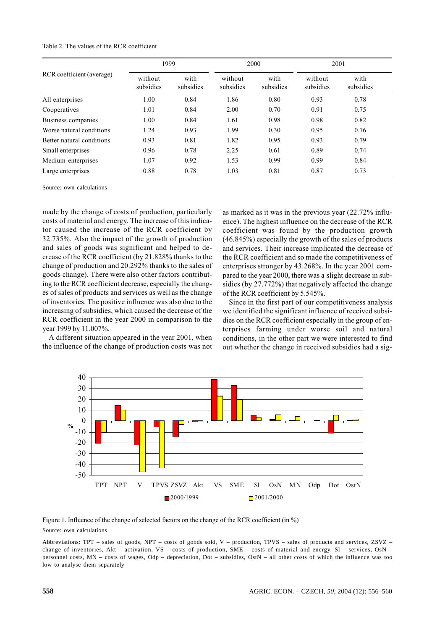#### Table 2. The values of the RCR coefficient

| RCR coefficient (average) | 1999                 |                   | 2000                 |                   | 2001                 |                   |
|---------------------------|----------------------|-------------------|----------------------|-------------------|----------------------|-------------------|
|                           | without<br>subsidies | with<br>subsidies | without<br>subsidies | with<br>subsidies | without<br>subsidies | with<br>subsidies |
| All enterprises           | 1.00                 | 0.84              | 1.86                 | 0.80              | 0.93                 | 0.78              |
| Cooperatives              | 1.01                 | 0.84              | 2.00                 | 0.70              | 0.91                 | 0.75              |
| Business companies        | 1.00                 | 0.84              | 1.61                 | 0.98              | 0.98                 | 0.82              |
| Worse natural conditions  | 1.24                 | 0.93              | 1.99                 | 0.30              | 0.95                 | 0.76              |
| Better natural conditions | 0.93                 | 0.81              | 1.82                 | 0.95              | 0.93                 | 0.79              |
| Small enterprises         | 0.96                 | 0.78              | 2.25                 | 0.61              | 0.89                 | 0.74              |
| Medium enterprises        | 1.07                 | 0.92              | 1.53                 | 0.99              | 0.99                 | 0.84              |
| Large enterprises         | 0.88                 | 0.78              | 1.03                 | 0.81              | 0.87                 | 0.73              |

Source: own calculations

made by the change of costs of production, particularly costs of material and energy. The increase of this indicator caused the increase of the RCR coefficient by 32.735%. Also the impact of the growth of production and sales of goods was significant and helped to decrease of the RCR coefficient (by 21.828% thanks to the change of production and 20.292% thanks to the sales of goods change). There were also other factors contributing to the RCR coefficient decrease, especially the changes of sales of products and services as well as the change of inventories. The positive influence was also due to the increasing of subsidies, which caused the decrease of the RCR coefficient in the year 2000 in comparison to the year 1999 by 11.007%.

A different situation appeared in the year 2001, when the influence of the change of production costs was not as marked as it was in the previous year (22.72% influence). The highest influence on the decrease of the RCR coefficient was found by the production growth  $(46.845\%)$  especially the growth of the sales of products and services. Their increase implicated the decrease of the RCR coefficient and so made the competitiveness of enterprises stronger by 43.268%. In the year 2001 compared to the year 2000, there was a slight decrease in subsidies (by 27.772%) that negatively affected the change of the RCR coefficient by 5.545%.

Since in the first part of our competitiveness analysis we identified the significant influence of received subsidies on the RCR coefficient especially in the group of enterprises farming under worse soil and natural conditions, in the other part we were interested to find out whether the change in received subsidies had a sig-



Figure 1. Influence of the change of selected factors on the change of the RCR coefficient (in %) Source: own calculations

Abbreviations: TPT - sales of goods, NPT - costs of goods sold, V - production, TPVS - sales of products and services, ZSVZ change of inventories, Akt – activation, VS – costs of production, SME – costs of material and energy, S1 – services, OsN – personnel costs, MN - costs of wages, Odp - depreciation, Dot - subsidies, OstN - all other costs of which the influence was too low to analyse them separately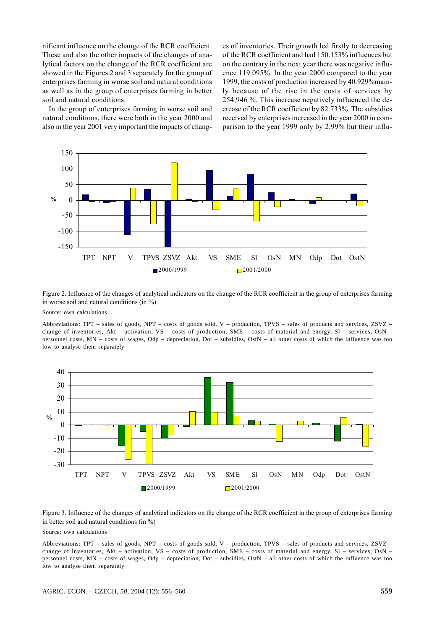nificant influence on the change of the RCR coefficient. These and also the other impacts of the changes of analytical factors on the change of the RCR coefficient are showed in the Figures 2 and 3 separately for the group of enterprises farming in worse soil and natural conditions as well as in the group of enterprises farming in better soil and natural conditions.

In the group of enterprises farming in worse soil and natural conditions, there were both in the year 2000 and also in the year 2001 very important the impacts of changes of inventories. Their growth led firstly to decreasing of the RCR coefficient and had 150.153% influences but on the contrary in the next year there was negative influence 119.095%. In the year 2000 compared to the year 1999, the costs of production increased by 40.929% mainly because of the rise in the costs of services by 254,946 %. This increase negatively influenced the decrease of the RCR coefficient by 82.733%. The subsidies received by enterprises increased in the year 2000 in comparison to the year 1999 only by 2.99% but their influ-



Figure 2. Influence of the changes of analytical indicators on the change of the RCR coefficient in the group of enterprises farming in worse soil and natural conditions (in  $\%$ )

Source: own calculations

Abbreviations: TPT – sales of goods, NPT – costs of goods sold, V – production, TPVS – sales of products and services, ZSVZ – change of inventories, Akt – activation, VS – costs of production, SME – costs of material and energy, Sl – services, OsN – personnel costs, MN – costs of wages, Odp – depreciation, Dot – subsidies, OstN – all other costs of which the influence was too low to analyse them separately



Figure 3. Influence of the changes of analytical indicators on the change of the RCR coefficient in the group of enterprises farming in better soil and natural conditions (in  $\%$ )

Source: own calculations

Abbreviations: TPT – sales of goods, NPT – costs of goods sold, V – production, TPVS – sales of products and services, ZSVZ – change of inventories, Akt – activation, VS – costs of production, SME – costs of material and energy, Sl – services, OsN – personnel costs, MN – costs of wages, Odp – depreciation, Dot – subsidies, OstN – all other costs of which the influence was too low to analyse them separately